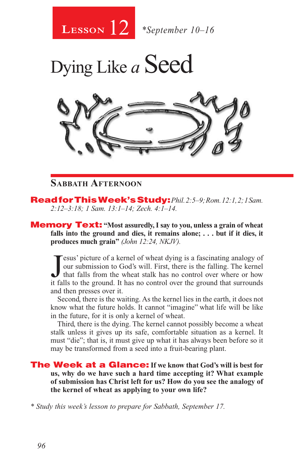

Dying Like *a* Seed



#### **Sabbath Afternoon**

Read for This Week's Study: *Phil. 2:5–9; Rom. 12:1, 2; 1 Sam. 2:12–3:18; 1 Sam. 13:1–14; Zech. 4:1–14.*

**Memory Text:** "Most assuredly, I say to you, unless a grain of wheat **falls into the ground and dies, it remains alone; . . . but if it dies, it produces much grain"** *(John 12:24, NKJV).* 

Jesus' picture of a kernel of wheat dying is a fascinating analogy of our submission to God's will. First, there is the falling. The kernel that falls from the wheat stalk has no control over where or how it falls to the g esus' picture of a kernel of wheat dying is a fascinating analogy of our submission to God's will. First, there is the falling. The kernel that falls from the wheat stalk has no control over where or how and then presses over it.

Second, there is the waiting. As the kernel lies in the earth, it does not know what the future holds. It cannot "imagine" what life will be like in the future, for it is only a kernel of wheat.

Third, there is the dying. The kernel cannot possibly become a wheat stalk unless it gives up its safe, comfortable situation as a kernel. It must "die"; that is, it must give up what it has always been before so it may be transformed from a seed into a fruit-bearing plant.

The Week at a Glance: **If we know that God's will is best for us, why do we have such a hard time accepting it? What example of submission has Christ left for us? How do you see the analogy of the kernel of wheat as applying to your own life?** 

*\* Study this week's lesson to prepare for Sabbath, September 17.*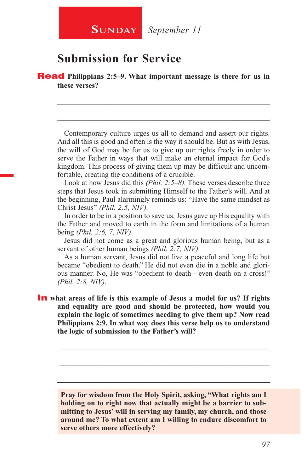## **Submission for Service**

**Read** Philippians 2:5–9. What important message is there for us in **these verses?**

Contemporary culture urges us all to demand and assert our rights. And all this is good and often is the way it should be. But as with Jesus, the will of God may be for us to give up our rights freely in order to serve the Father in ways that will make an eternal impact for God's kingdom. This process of giving them up may be difficult and uncomfortable, creating the conditions of a crucible.

\_\_\_\_\_\_\_\_\_\_\_\_\_\_\_\_\_\_\_\_\_\_\_\_\_\_\_\_\_\_\_\_\_\_\_\_\_\_\_\_\_\_\_\_\_\_\_\_\_\_\_\_\_\_\_\_

\_\_\_\_\_\_\_\_\_\_\_\_\_\_\_\_\_\_\_\_\_\_\_\_\_\_\_\_\_\_\_\_\_\_\_\_\_\_\_\_\_\_\_\_\_\_\_\_\_\_\_\_\_\_\_\_

Look at how Jesus did this *(Phil. 2:5–8).* These verses describe three steps that Jesus took in submitting Himself to the Father's will. And at the beginning, Paul alarmingly reminds us: "Have the same mindset as Christ Jesus" *(Phil. 2:5, NIV).*

In order to be in a position to save us, Jesus gave up His equality with the Father and moved to earth in the form and limitations of a human being *(Phil. 2:6, 7, NIV).*

Jesus did not come as a great and glorious human being, but as a servant of other human beings *(Phil. 2:7, NIV).*

As a human servant, Jesus did not live a peaceful and long life but became "obedient to death." He did not even die in a noble and glorious manner. No, He was "obedient to death—even death on a cross!" *(Phil. 2:8, NIV).*

**In** what areas of life is this example of Jesus a model for us? If rights **and equality are good and should be protected, how would you explain the logic of sometimes needing to give them up? Now read Philippians 2:9. In what way does this verse help us to understand the logic of submission to the Father's will?**

> **Pray for wisdom from the Holy Spirit, asking, "What rights am I holding on to right now that actually might be a barrier to submitting to Jesus' will in serving my family, my church, and those around me? To what extent am I willing to endure discomfort to serve others more effectively?**

> \_\_\_\_\_\_\_\_\_\_\_\_\_\_\_\_\_\_\_\_\_\_\_\_\_\_\_\_\_\_\_\_\_\_\_\_\_\_\_\_\_\_\_\_\_\_\_\_\_\_\_\_\_\_\_\_

\_\_\_\_\_\_\_\_\_\_\_\_\_\_\_\_\_\_\_\_\_\_\_\_\_\_\_\_\_\_\_\_\_\_\_\_\_\_\_\_\_\_\_\_\_\_\_\_\_\_\_\_\_\_\_\_

\_\_\_\_\_\_\_\_\_\_\_\_\_\_\_\_\_\_\_\_\_\_\_\_\_\_\_\_\_\_\_\_\_\_\_\_\_\_\_\_\_\_\_\_\_\_\_\_\_\_\_\_\_\_\_\_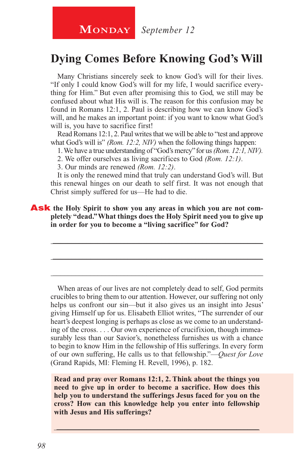## **Dying Comes Before Knowing God's Will**

Many Christians sincerely seek to know God's will for their lives. "If only I could know God's will for my life, I would sacrifice everything for Him." But even after promising this to God, we still may be confused about what His will is. The reason for this confusion may be found in Romans 12:1, 2. Paul is describing how we can know God's will, and he makes an important point: if you want to know what God's will is, you have to sacrifice first!

Read Romans 12:1, 2. Paul writes that we will be able to "test and approve what God's will is" *(Rom. 12:2, NIV)* when the following things happen:

1. We have a true understanding of "God's mercy" for us *(Rom. 12:1, NIV).*

2. We offer ourselves as living sacrifices to God *(Rom. 12:1)*.

3. Our minds are renewed *(Rom. 12:2)*.

It is only the renewed mind that truly can understand God's will. But this renewal hinges on our death to self first. It was not enough that Christ simply suffered for us—He had to die.

\_\_\_\_\_\_\_\_\_\_\_\_\_\_\_\_\_\_\_\_\_\_\_\_\_\_\_\_\_\_\_\_\_\_\_\_\_\_\_\_\_\_\_\_\_\_\_\_\_\_\_\_\_\_\_\_

\_\_\_\_\_\_\_\_\_\_\_\_\_\_\_\_\_\_\_\_\_\_\_\_\_\_\_\_\_\_\_\_\_\_\_\_\_\_\_\_\_\_\_\_\_\_\_\_\_\_\_\_\_\_\_\_

\_\_\_\_\_\_\_\_\_\_\_\_\_\_\_\_\_\_\_\_\_\_\_\_\_\_\_\_\_\_\_\_\_\_\_\_\_\_\_\_\_\_\_\_\_\_\_\_\_\_\_\_\_\_\_\_

Ask the Holy Spirit to show you any areas in which you are not com**pletely "dead." What things does the Holy Spirit need you to give up in order for you to become a "living sacrifice" for God?** 

When areas of our lives are not completely dead to self, God permits crucibles to bring them to our attention. However, our suffering not only helps us confront our sin—but it also gives us an insight into Jesus' giving Himself up for us. Elisabeth Elliot writes, "The surrender of our heart's deepest longing is perhaps as close as we come to an understanding of the cross. . . . Our own experience of crucifixion, though immeasurably less than our Savior's, nonetheless furnishes us with a chance to begin to know Him in the fellowship of His sufferings. In every form of our own suffering, He calls us to that fellowship."—*Quest for Love*  (Grand Rapids, MI: Fleming H. Revell, 1996), p. 182.

**Read and pray over Romans 12:1, 2. Think about the things you need to give up in order to become a sacrifice. How does this help you to understand the sufferings Jesus faced for you on the cross? How can this knowledge help you enter into fellowship with Jesus and His sufferings?**

\_\_\_\_\_\_\_\_\_\_\_\_\_\_\_\_\_\_\_\_\_\_\_\_\_\_\_\_\_\_\_\_\_\_\_\_\_\_\_\_\_\_\_\_\_\_\_\_\_\_\_\_\_\_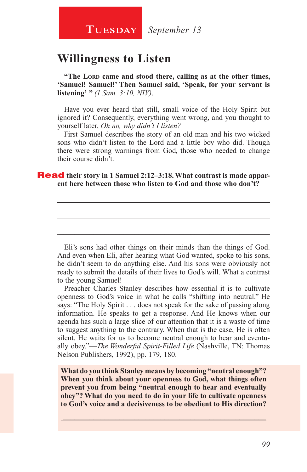### **Willingness to Listen**

"The LORD came and stood there, calling as at the other times, **'Samuel! Samuel!' Then Samuel said, 'Speak, for your servant is listening' "** *(1 Sam. 3:10, NIV)*.

Have you ever heard that still, small voice of the Holy Spirit but ignored it? Consequently, everything went wrong, and you thought to yourself later, *Oh no, why didn't I listen?*

First Samuel describes the story of an old man and his two wicked sons who didn't listen to the Lord and a little boy who did. Though there were strong warnings from God, those who needed to change their course didn't.

\_\_\_\_\_\_\_\_\_\_\_\_\_\_\_\_\_\_\_\_\_\_\_\_\_\_\_\_\_\_\_\_\_\_\_\_\_\_\_\_\_\_\_\_\_\_\_\_\_\_\_\_\_\_\_\_

\_\_\_\_\_\_\_\_\_\_\_\_\_\_\_\_\_\_\_\_\_\_\_\_\_\_\_\_\_\_\_\_\_\_\_\_\_\_\_\_\_\_\_\_\_\_\_\_\_\_\_\_\_\_\_\_

\_\_\_\_\_\_\_\_\_\_\_\_\_\_\_\_\_\_\_\_\_\_\_\_\_\_\_\_\_\_\_\_\_\_\_\_\_\_\_\_\_\_\_\_\_\_\_\_\_\_\_\_\_\_\_\_

#### **Read** their story in 1 Samuel 2:12–3:18. What contrast is made appar**ent here between those who listen to God and those who don't?**

Eli's sons had other things on their minds than the things of God. And even when Eli, after hearing what God wanted, spoke to his sons, he didn't seem to do anything else. And his sons were obviously not ready to submit the details of their lives to God's will. What a contrast to the young Samuel!

Preacher Charles Stanley describes how essential it is to cultivate openness to God's voice in what he calls "shifting into neutral." He says: "The Holy Spirit . . . does not speak for the sake of passing along information. He speaks to get a response. And He knows when our agenda has such a large slice of our attention that it is a waste of time to suggest anything to the contrary. When that is the case, He is often silent. He waits for us to become neutral enough to hear and eventually obey."—*The Wonderful Spirit-Filled Life* (Nashville, TN: Thomas Nelson Publishers, 1992), pp. 179, 180.

**What do you think Stanley means by becoming "neutral enough"? When you think about your openness to God, what things often prevent you from being "neutral enough to hear and eventually obey"? What do you need to do in your life to cultivate openness to God's voice and a decisiveness to be obedient to His direction?**

 $\_$  , and the set of the set of the set of the set of the set of the set of the set of the set of the set of the set of the set of the set of the set of the set of the set of the set of the set of the set of the set of th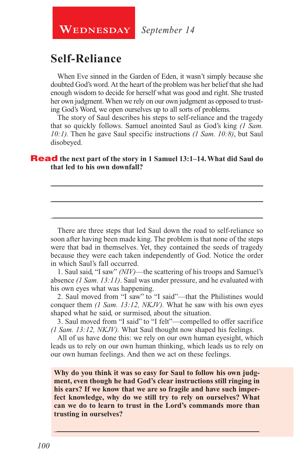**WEDNESDAY** September 14

## **Self-Reliance**

When Eve sinned in the Garden of Eden, it wasn't simply because she doubted God's word. At the heart of the problem was her belief that she had enough wisdom to decide for herself what was good and right. She trusted her own judgment. When we rely on our own judgment as opposed to trusting God's Word, we open ourselves up to all sorts of problems.

The story of Saul describes his steps to self-reliance and the tragedy that so quickly follows. Samuel anointed Saul as God's king *(1 Sam. 10:1).* Then he gave Saul specific instructions *(1 Sam. 10:8)*, but Saul disobeyed.

\_\_\_\_\_\_\_\_\_\_\_\_\_\_\_\_\_\_\_\_\_\_\_\_\_\_\_\_\_\_\_\_\_\_\_\_\_\_\_\_\_\_\_\_\_\_\_\_\_\_\_\_\_\_\_\_

\_\_\_\_\_\_\_\_\_\_\_\_\_\_\_\_\_\_\_\_\_\_\_\_\_\_\_\_\_\_\_\_\_\_\_\_\_\_\_\_\_\_\_\_\_\_\_\_\_\_\_\_\_\_\_\_

\_\_\_\_\_\_\_\_\_\_\_\_\_\_\_\_\_\_\_\_\_\_\_\_\_\_\_\_\_\_\_\_\_\_\_\_\_\_\_\_\_\_\_\_\_\_\_\_\_\_\_\_\_\_\_\_

#### Read **the next part of the story in 1 Samuel 13:1–14. What did Saul do that led to his own downfall?**

There are three steps that led Saul down the road to self-reliance so soon after having been made king. The problem is that none of the steps were that bad in themselves. Yet, they contained the seeds of tragedy because they were each taken independently of God. Notice the order in which Saul's fall occurred.

1. Saul said, "I saw" *(NIV)*—the scattering of his troops and Samuel's absence *(1 Sam. 13:11)*. Saul was under pressure, and he evaluated with his own eyes what was happening.

2. Saul moved from "I saw" to "I said"—that the Philistines would conquer them *(1 Sam. 13:12, NKJV).* What he saw with his own eyes shaped what he said, or surmised, about the situation.

3. Saul moved from "I said" to "I felt"—compelled to offer sacrifice *(1 Sam. 13:12, NKJV).* What Saul thought now shaped his feelings.

All of us have done this: we rely on our own human eyesight, which leads us to rely on our own human thinking, which leads us to rely on our own human feelings. And then we act on these feelings.

**Why do you think it was so easy for Saul to follow his own judgment, even though he had God's clear instructions still ringing in his ears? If we know that we are so fragile and have such imperfect knowledge, why do we still try to rely on ourselves? What can we do to learn to trust in the Lord's commands more than trusting in ourselves?**

\_\_\_\_\_\_\_\_\_\_\_\_\_\_\_\_\_\_\_\_\_\_\_\_\_\_\_\_\_\_\_\_\_\_\_\_\_\_\_\_\_\_\_\_\_\_\_\_\_\_\_\_\_\_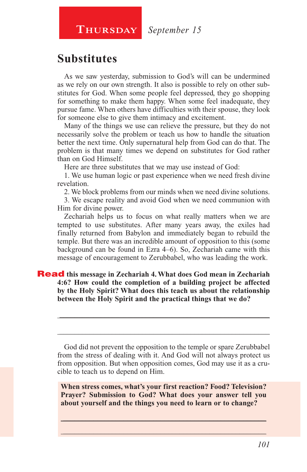**Thursday** *September 15*

## **Substitutes**

As we saw yesterday, submission to God's will can be undermined as we rely on our own strength. It also is possible to rely on other substitutes for God. When some people feel depressed, they go shopping for something to make them happy. When some feel inadequate, they pursue fame. When others have difficulties with their spouse, they look for someone else to give them intimacy and excitement.

Many of the things we use can relieve the pressure, but they do not necessarily solve the problem or teach us how to handle the situation better the next time. Only supernatural help from God can do that. The problem is that many times we depend on substitutes for God rather than on God Himself.

Here are three substitutes that we may use instead of God:

1. We use human logic or past experience when we need fresh divine revelation.

2. We block problems from our minds when we need divine solutions.

3. We escape reality and avoid God when we need communion with Him for divine power.

Zechariah helps us to focus on what really matters when we are tempted to use substitutes. After many years away, the exiles had finally returned from Babylon and immediately began to rebuild the temple. But there was an incredible amount of opposition to this (some background can be found in Ezra 4–6). So, Zechariah came with this message of encouragement to Zerubbabel, who was leading the work.

#### Read **this message in Zechariah 4. What does God mean in Zechariah 4:6? How could the completion of a building project be affected by the Holy Spirit? What does this teach us about the relationship between the Holy Spirit and the practical things that we do?**

God did not prevent the opposition to the temple or spare Zerubbabel from the stress of dealing with it. And God will not always protect us from opposition. But when opposition comes, God may use it as a crucible to teach us to depend on Him.

\_\_\_\_\_\_\_\_\_\_\_\_\_\_\_\_\_\_\_\_\_\_\_\_\_\_\_\_\_\_\_\_\_\_\_\_\_\_\_\_\_\_\_\_\_\_\_\_\_\_\_\_\_\_\_\_

\_\_\_\_\_\_\_\_\_\_\_\_\_\_\_\_\_\_\_\_\_\_\_\_\_\_\_\_\_\_\_\_\_\_\_\_\_\_\_\_\_\_\_\_\_\_\_\_\_\_\_\_\_\_\_\_

**When stress comes, what's your first reaction? Food? Television? Prayer? Submission to God? What does your answer tell you about yourself and the things you need to learn or to change?**

 $\_$  , and the set of the set of the set of the set of the set of the set of the set of the set of the set of the set of the set of the set of the set of the set of the set of the set of the set of the set of the set of th \_\_\_\_\_\_\_\_\_\_\_\_\_\_\_\_\_\_\_\_\_\_\_\_\_\_\_\_\_\_\_\_\_\_\_\_\_\_\_\_\_\_\_\_\_\_\_\_\_\_\_\_\_\_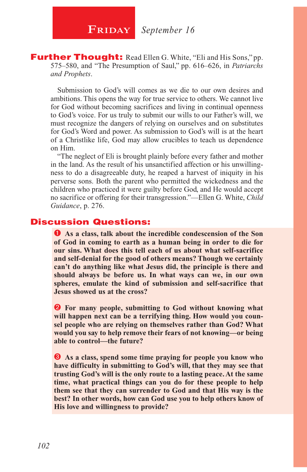**Further Thought:** Read Ellen G. White, "Eli and His Sons," pp. 575–580, and "The Presumption of Saul," pp. 616–626, in *Patriarchs and Prophets*.

Submission to God's will comes as we die to our own desires and ambitions. This opens the way for true service to others. We cannot live for God without becoming sacrifices and living in continual openness to God's voice. For us truly to submit our wills to our Father's will, we must recognize the dangers of relying on ourselves and on substitutes for God's Word and power. As submission to God's will is at the heart of a Christlike life, God may allow crucibles to teach us dependence on Him.

"The neglect of Eli is brought plainly before every father and mother in the land. As the result of his unsanctified affection or his unwillingness to do a disagreeable duty, he reaped a harvest of iniquity in his perverse sons. Both the parent who permitted the wickedness and the children who practiced it were guilty before God, and He would accept no sacrifice or offering for their transgression."—Ellen G. White, *Child Guidance*, p. 276.

#### Discussion Questions:

 **As a class, talk about the incredible condescension of the Son of God in coming to earth as a human being in order to die for our sins. What does this tell each of us about what self-sacrifice and self-denial for the good of others means? Though we certainly can't do anything like what Jesus did, the principle is there and should always be before us. In what ways can we, in our own spheres, emulate the kind of submission and self-sacrifice that Jesus showed us at the cross?**

**2** For many people, submitting to God without knowing what **will happen next can be a terrifying thing. How would you counsel people who are relying on themselves rather than God? What would you say to help remove their fears of not knowing—or being able to control—the future?**

 **As a class, spend some time praying for people you know who have difficulty in submitting to God's will, that they may see that trusting God's will is the only route to a lasting peace. At the same time, what practical things can you do for these people to help them see that they can surrender to God and that His way is the best? In other words, how can God use you to help others know of His love and willingness to provide?**